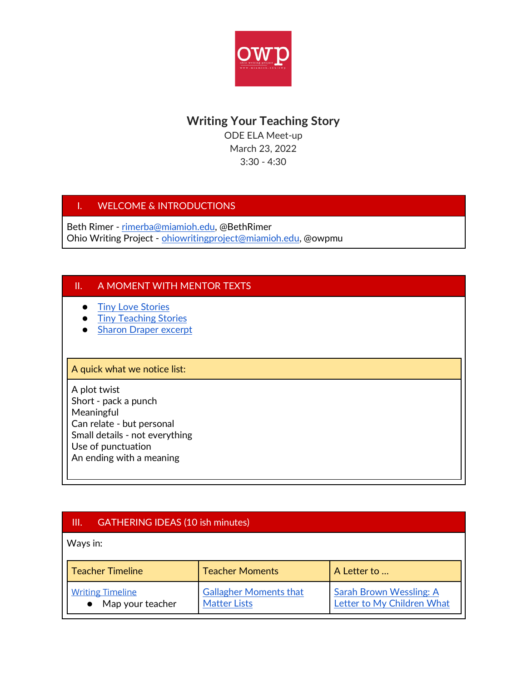

# **Writing Your Teaching Story**

ODE ELA Meet-up March 23, 2022 3:30 - 4:30

### I. WELCOME & INTRODUCTIONS

Beth Rimer - [rimerba@miamioh.edu,](mailto:rimerba@miamioh.edu) @BethRimer Ohio Writing Project - [ohiowritingproject@miamioh.edu,](mailto:ohiowritingproject@miamioh.edu) @owpmu

#### II. A MOMENT WITH MENTOR TEXTS

- [Tiny Love Stories](https://drive.google.com/file/d/1Z_-n6dSImTQMkFNgFdTXh21tS8IXEmxa/view?usp=sharing)
- [Tiny Teaching Stories](https://docs.google.com/document/d/1_arM4rhPZeSEhqyjZkmdYY4cBxGvCwxyan2PHEOeoyM/edit?usp=sharing)
- [Sharon Draper excerpt](https://docs.google.com/document/d/1YhS5bCFpgut8aQKUMFSpiikxt31yginhTbFvv8jI75U/edit?usp=sharing)

#### A quick what we notice list:

A plot twist Short - pack a punch Meaningful Can relate - but personal Small details - not everything Use of punctuation An ending with a meaning

### III. GATHERING IDEAS (10 ish minutes)

Ways in:

| <b>Teacher Timeline</b> | <b>Teacher Moments</b>        | A Letter to                    |
|-------------------------|-------------------------------|--------------------------------|
| <b>Writing Timeline</b> | <b>Gallagher Moments that</b> | <b>Sarah Brown Wessling: A</b> |
| Map your teacher        | <b>Matter Lists</b>           | Letter to My Children What     |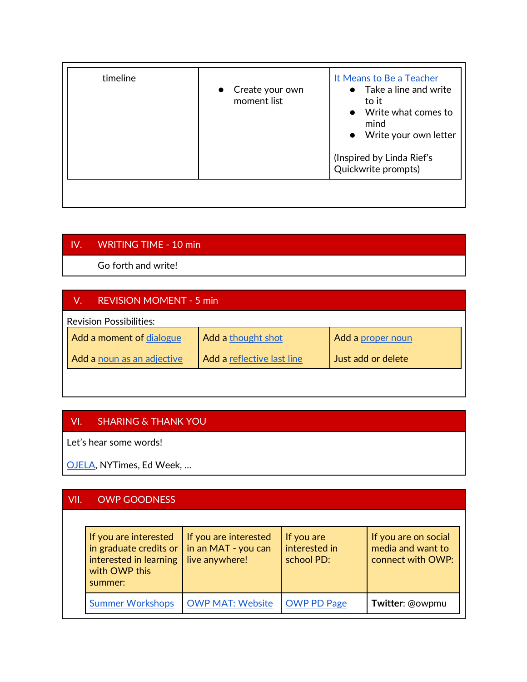| timeline | • Create your own<br>moment list | It Means to Be a Teacher<br>$\bullet$ Take a line and write<br>to it<br>Write what comes to<br>$\bullet$<br>mind<br>Write your own letter<br>$\bullet$ |  |
|----------|----------------------------------|--------------------------------------------------------------------------------------------------------------------------------------------------------|--|
|          |                                  | (Inspired by Linda Rief's<br>Quickwrite prompts)                                                                                                       |  |
|          |                                  |                                                                                                                                                        |  |

## IV. WRITING TIME - 10 min

Go forth and write!

### V. REVISION MOMENT - 5 min

| <b>Revision Possibilities:</b> |                            |                            |                    |  |
|--------------------------------|----------------------------|----------------------------|--------------------|--|
|                                | Add a moment of dialogue   | Add a thought shot         | Add a proper noun  |  |
|                                | Add a noun as an adjective | Add a reflective last line | Just add or delete |  |
|                                |                            |                            |                    |  |

#### VI. SHARING & THANK YOU

Let's hear some words!

[OJELA,](https://www.octela.org/publications/ojela/submission-guidelines/ions/ojela/calls-for-manuscripts/) NYTimes, Ed Week, …

### VII. OWP GOODNESS

| If you are interested $\parallel$ If you are interested<br>in graduate credits or $\vert$ in an MAT - you can<br>interested in learning<br>with OWP this<br>summer: | live anywhere!          | If you are<br>interested in<br>school PD: | If you are on social<br>media and want to<br>connect with OWP: |
|---------------------------------------------------------------------------------------------------------------------------------------------------------------------|-------------------------|-------------------------------------------|----------------------------------------------------------------|
| <b>Summer Workshops</b>                                                                                                                                             | <b>OWP MAT: Website</b> | <b>OWP PD Page</b>                        | Twitter: @owpmu                                                |